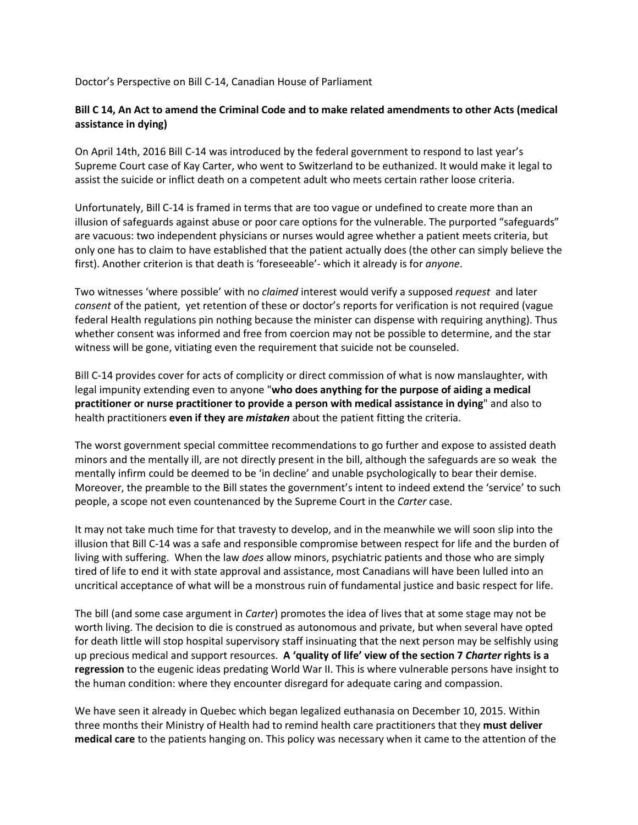Doctor's Perspective on Bill C-14, Canadian House of Parliament

### **Bill C 14, An Act to amend the Criminal Code and to make related amendments to other Acts (medical assistance in dying)**

On April 14th, 2016 Bill C-14 was introduced by the federal government to respond to last year's Supreme Court case of Kay Carter, who went to Switzerland to be euthanized. It would make it legal to assist the suicide or inflict death on a competent adult who meets certain rather loose criteria.

Unfortunately, Bill C-14 is framed in terms that are too vague or undefined to create more than an illusion of safeguards against abuse or poor care options for the vulnerable. The purported "safeguards" are vacuous: two independent physicians or nurses would agree whether a patient meets criteria, but only one has to claim to have established that the patient actually does (the other can simply believe the first). Another criterion is that death is 'foreseeable'- which it already is for *anyone*.

Two witnesses 'where possible' with no *claimed* interest would verify a supposed *request* and later *consent* of the patient, yet retention of these or doctor's reports for verification is not required (vague federal Health regulations pin nothing because the minister can dispense with requiring anything). Thus whether consent was informed and free from coercion may not be possible to determine, and the star witness will be gone, vitiating even the requirement that suicide not be counseled.

Bill C-14 provides cover for acts of complicity or direct commission of what is now manslaughter, with legal impunity extending even to anyone "**who does anything for the purpose of aiding a medical practitioner or nurse practitioner to provide a person with medical assistance in dying**" and also to health practitioners **even if they are** *mistaken* about the patient fitting the criteria.

The worst government special committee recommendations to go further and expose to assisted death minors and the mentally ill, are not directly present in the bill, although the safeguards are so weak the mentally infirm could be deemed to be 'in decline' and unable psychologically to bear their demise. Moreover, the preamble to the Bill states the government's intent to indeed extend the 'service' to such people, a scope not even countenanced by the Supreme Court in the *Carter* case.

It may not take much time for that travesty to develop, and in the meanwhile we will soon slip into the illusion that Bill C-14 was a safe and responsible compromise between respect for life and the burden of living with suffering. When the law *does* allow minors, psychiatric patients and those who are simply tired of life to end it with state approval and assistance, most Canadians will have been lulled into an uncritical acceptance of what will be a monstrous ruin of fundamental justice and basic respect for life.

The bill (and some case argument in *Carter*) promotes the idea of lives that at some stage may not be worth living. The decision to die is construed as autonomous and private, but when several have opted for death little will stop hospital supervisory staff insinuating that the next person may be selfishly using up precious medical and support resources. **A 'quality of life' view of the section 7** *Charter* **rights is a regression** to the eugenic ideas predating World War II. This is where vulnerable persons have insight to the human condition: where they encounter disregard for adequate caring and compassion.

We have seen it already in Quebec which began legalized euthanasia on December 10, 2015. Within three months their Ministry of Health had to remind health care practitioners that they **must deliver medical care** to the patients hanging on. This policy was necessary when it came to the attention of the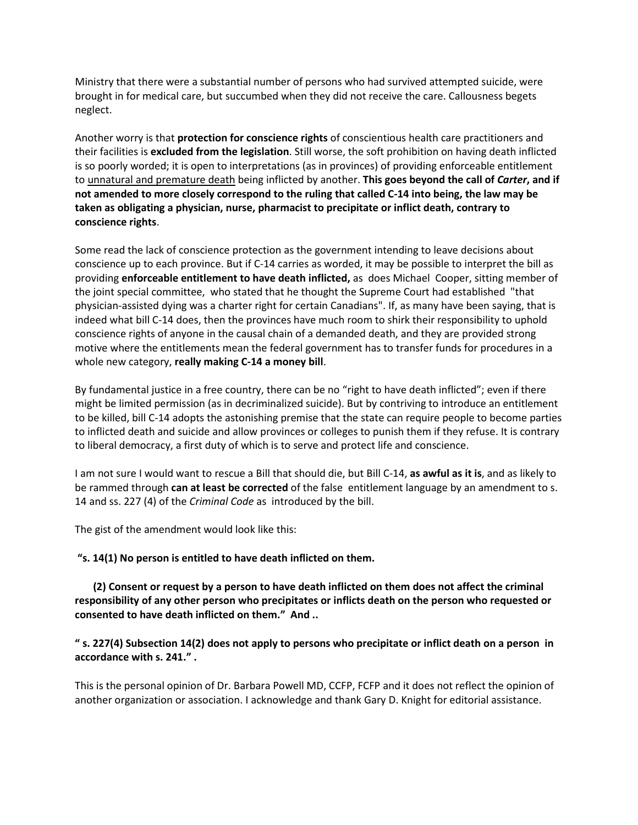Ministry that there were a substantial number of persons who had survived attempted suicide, were brought in for medical care, but succumbed when they did not receive the care. Callousness begets neglect.

Another worry is that **protection for conscience rights** of conscientious health care practitioners and their facilities is **excluded from the legislation**. Still worse, the soft prohibition on having death inflicted is so poorly worded; it is open to interpretations (as in provinces) of providing enforceable entitlement to unnatural and premature death being inflicted by another. **This goes beyond the call of** *Carter***, and if not amended to more closely correspond to the ruling that called C-14 into being, the law may be taken as obligating a physician, nurse, pharmacist to precipitate or inflict death, contrary to conscience rights**.

Some read the lack of conscience protection as the government intending to leave decisions about conscience up to each province. But if C-14 carries as worded, it may be possible to interpret the bill as providing **enforceable entitlement to have death inflicted,** as does Michael Cooper, sitting member of the joint special committee, who stated that he thought the Supreme Court had established "that physician-assisted dying was a charter right for certain Canadians". If, as many have been saying, that is indeed what bill C-14 does, then the provinces have much room to shirk their responsibility to uphold conscience rights of anyone in the causal chain of a demanded death, and they are provided strong motive where the entitlements mean the federal government has to transfer funds for procedures in a whole new category, **really making C-14 a money bill**.

By fundamental justice in a free country, there can be no "right to have death inflicted"; even if there might be limited permission (as in decriminalized suicide). But by contriving to introduce an entitlement to be killed, bill C-14 adopts the astonishing premise that the state can require people to become parties to inflicted death and suicide and allow provinces or colleges to punish them if they refuse. It is contrary to liberal democracy, a first duty of which is to serve and protect life and conscience.

I am not sure I would want to rescue a Bill that should die, but Bill C-14, **as awful as it is**, and as likely to be rammed through **can at least be corrected** of the false entitlement language by an amendment to s. 14 and ss. 227 (4) of the *Criminal Code* as introduced by the bill.

The gist of the amendment would look like this:

**"s. 14(1) No person is entitled to have death inflicted on them.**

 **(2) Consent or request by a person to have death inflicted on them does not affect the criminal responsibility of any other person who precipitates or inflicts death on the person who requested or consented to have death inflicted on them." And ..**

### **" s. 227(4) Subsection 14(2) does not apply to persons who precipitate or inflict death on a person in accordance with s. 241." .**

This is the personal opinion of Dr. Barbara Powell MD, CCFP, FCFP and it does not reflect the opinion of another organization or association. I acknowledge and thank Gary D. Knight for editorial assistance.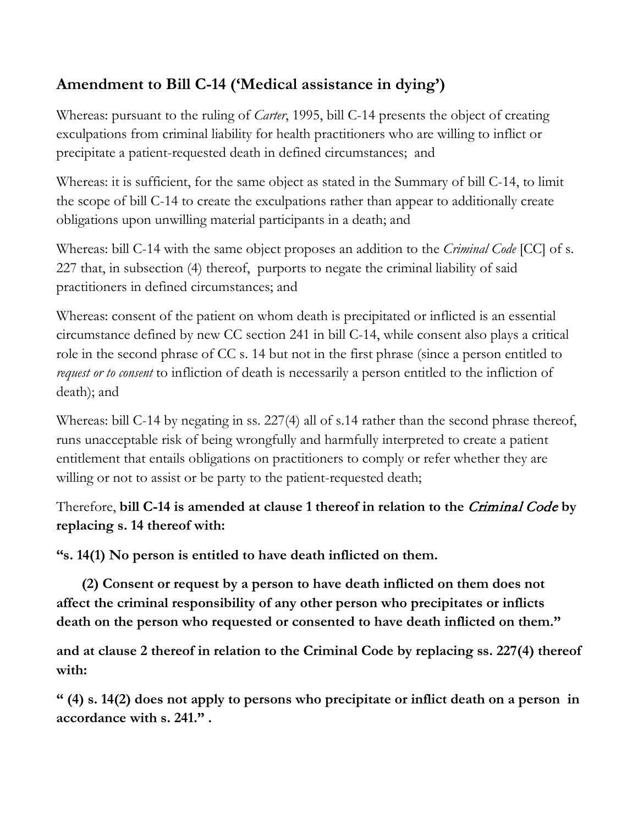# **Amendment to Bill C-14 ('Medical assistance in dying')**

Whereas: pursuant to the ruling of *Carter*, 1995, bill C-14 presents the object of creating exculpations from criminal liability for health practitioners who are willing to inflict or precipitate a patient-requested death in defined circumstances; and

Whereas: it is sufficient, for the same object as stated in the Summary of bill C-14, to limit the scope of bill C-14 to create the exculpations rather than appear to additionally create obligations upon unwilling material participants in a death; and

Whereas: bill C-14 with the same object proposes an addition to the *Criminal Code* [CC] of s. 227 that, in subsection (4) thereof, purports to negate the criminal liability of said practitioners in defined circumstances; and

Whereas: consent of the patient on whom death is precipitated or inflicted is an essential circumstance defined by new CC section 241 in bill C-14, while consent also plays a critical role in the second phrase of CC s. 14 but not in the first phrase (since a person entitled to *request or to consent* to infliction of death is necessarily a person entitled to the infliction of death); and

Whereas: bill C-14 by negating in ss. 227(4) all of s.14 rather than the second phrase thereof, runs unacceptable risk of being wrongfully and harmfully interpreted to create a patient entitlement that entails obligations on practitioners to comply or refer whether they are willing or not to assist or be party to the patient-requested death;

## Therefore, **bill C-14 is amended at clause 1 thereof in relation to the** Criminal Code **by replacing s. 14 thereof with:**

**"s. 14(1) No person is entitled to have death inflicted on them.**

 **(2) Consent or request by a person to have death inflicted on them does not affect the criminal responsibility of any other person who precipitates or inflicts death on the person who requested or consented to have death inflicted on them."** 

**and at clause 2 thereof in relation to the Criminal Code by replacing ss. 227(4) thereof with:**

**" (4) s. 14(2) does not apply to persons who precipitate or inflict death on a person in accordance with s. 241." .**